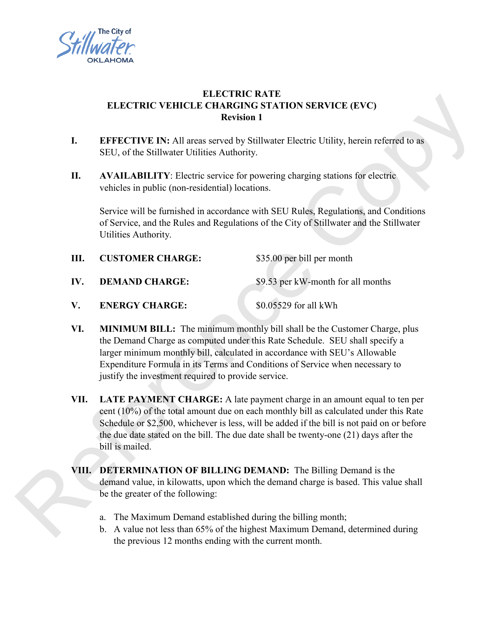

# **ELECTRIC RATE ELECTRIC VEHICLE CHARGING STATION SERVICE (EVC) Revision 1**

- **I. EFFECTIVE IN:** All areas served by Stillwater Electric Utility, herein referred to as SEU, of the Stillwater Utilities Authority.
- **II. AVAILABILITY**: Electric service for powering charging stations for electric vehicles in public (non-residential) locations.

Service will be furnished in accordance with SEU Rules, Regulations, and Conditions of Service, and the Rules and Regulations of the City of Stillwater and the Stillwater Utilities Authority.

- **III. CUSTOMER CHARGE:** \$35.00 per bill per month **IV. DEMAND CHARGE:** \$9.53 per kW-month for all months **V. ENERGY CHARGE:** \$0.05529 for all kWh
- **VI. MINIMUM BILL:** The minimum monthly bill shall be the Customer Charge, plus the Demand Charge as computed under this Rate Schedule. SEU shall specify a larger minimum monthly bill, calculated in accordance with SEU's Allowable Expenditure Formula in its Terms and Conditions of Service when necessary to

justify the investment required to provide service.

**VII. LATE PAYMENT CHARGE:** A late payment charge in an amount equal to ten per cent (10%) of the total amount due on each monthly bill as calculated under this Rate Schedule or \$2,500, whichever is less, will be added if the bill is not paid on or before the due date stated on the bill. The due date shall be twenty-one (21) days after the bill is mailed. **ELECTRIC VEHICLE OF ABCHINE ACTEST (FVC)**<br> **REFECTIVE IN:** All areas served by Stillwater Electric Utility, herein referred to the<br>
SEU, of the Sillivater Utilities Authority.<br> **I.** AVAILABILITY Electric expressions for

**VIII. DETERMINATION OF BILLING DEMAND:** The Billing Demand is the demand value, in kilowatts, upon which the demand charge is based. This value shall be the greater of the following:

- a. The Maximum Demand established during the billing month;
- b. A value not less than 65% of the highest Maximum Demand, determined during the previous 12 months ending with the current month.